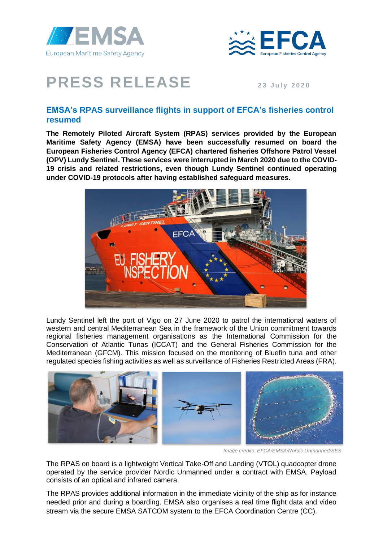



## **PRESS RELEASE** 23 July 2020

## **EMSA's RPAS surveillance flights in support of EFCA's fisheries control resumed**

**The Remotely Piloted Aircraft System (RPAS) services provided by the European Maritime Safety Agency (EMSA) have been successfully resumed on board the European Fisheries Control Agency (EFCA) chartered fisheries Offshore Patrol Vessel (OPV) Lundy Sentinel. These services were interrupted in March 2020 due to the COVID-19 crisis and related restrictions, even though Lundy Sentinel continued operating under COVID-19 protocols after having established safeguard measures.** 



Lundy Sentinel left the port of Vigo on 27 June 2020 to patrol the international waters of western and central Mediterranean Sea in the framework of the Union commitment towards regional fisheries management organisations as the International Commission for the Conservation of Atlantic Tunas (ICCAT) and the General Fisheries Commission for the Mediterranean (GFCM). This mission focused on the monitoring of Bluefin tuna and other regulated species fishing activities as well as surveillance of Fisheries Restricted Areas (FRA).



*Image credits: EFCA/EMSA/Nordic Unmanned/SES*

The RPAS on board is a lightweight Vertical Take-Off and Landing (VTOL) quadcopter drone operated by the service provider Nordic Unmanned under a contract with EMSA. Payload consists of an optical and infrared camera.

The RPAS provides additional information in the immediate vicinity of the ship as for instance needed prior and during a boarding. EMSA also organises a real time flight data and video stream via the secure EMSA SATCOM system to the EFCA Coordination Centre (CC).